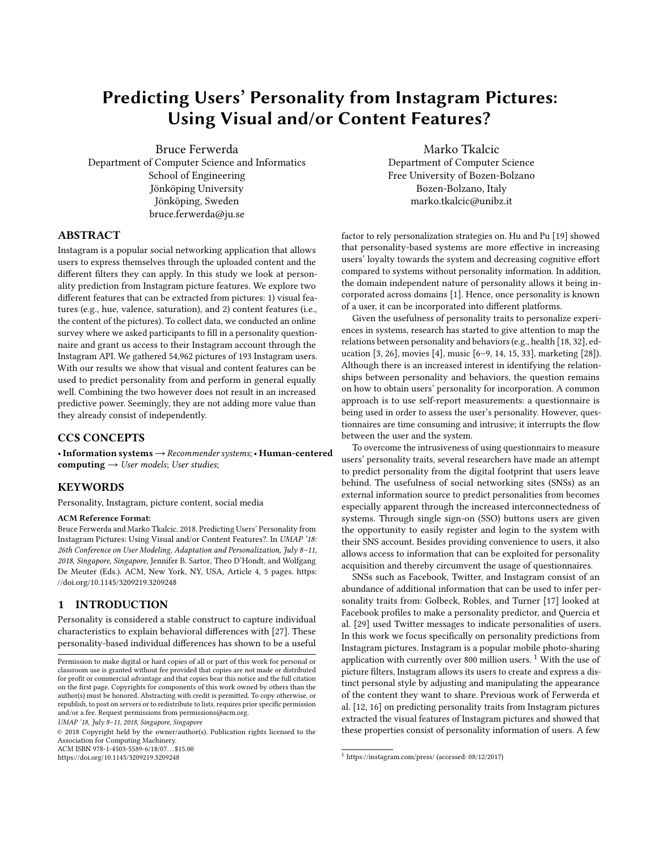# Predicting Users' Personality from Instagram Pictures: Using Visual and/or Content Features?

Bruce Ferwerda Department of Computer Science and Informatics School of Engineering Jönköping University Jönköping, Sweden bruce.ferwerda@ju.se

Marko Tkalcic Department of Computer Science Free University of Bozen-Bolzano Bozen-Bolzano, Italy marko.tkalcic@unibz.it

# ABSTRACT

Instagram is a popular social networking application that allows users to express themselves through the uploaded content and the different filters they can apply. In this study we look at personality prediction from Instagram picture features. We explore two different features that can be extracted from pictures: 1) visual features (e.g., hue, valence, saturation), and 2) content features (i.e., the content of the pictures). To collect data, we conducted an online survey where we asked participants to fill in a personality questionnaire and grant us access to their Instagram account through the Instagram API. We gathered 54,962 pictures of 193 Instagram users. With our results we show that visual and content features can be used to predict personality from and perform in general equally well. Combining the two however does not result in an increased predictive power. Seemingly, they are not adding more value than they already consist of independently.

# CCS CONCEPTS

•Information systems→Recommender systems;• Human-centered computing  $\rightarrow$  User models; User studies;

### **KEYWORDS**

Personality, Instagram, picture content, social media

#### ACM Reference Format:

Bruce Ferwerda and Marko Tkalcic. 2018. Predicting Users' Personality from Instagram Pictures: Using Visual and/or Content Features?. In UMAP '18: 26th Conference on User Modeling, Adaptation and Personalization, July 8–11, 2018, Singapore, Singapore, Jennifer B. Sartor, Theo D'Hondt, and Wolfgang De Meuter (Eds.). ACM, New York, NY, USA, Article 4, [5](#page-4-0) pages. [https:](https://doi.org/10.1145/3209219.3209248) [//doi.org/10.1145/3209219.3209248](https://doi.org/10.1145/3209219.3209248)

#### 1 INTRODUCTION

Personality is considered a stable construct to capture individual characteristics to explain behavioral differences with [\[27\]](#page-4-1). These personality-based individual differences has shown to be a useful

```
UMAP '18, July 8–11, 2018, Singapore, Singapore
```
© 2018 Copyright held by the owner/author(s). Publication rights licensed to the Association for Computing Machinery. ACM ISBN 978-1-4503-5589-6/18/07...\$15.00

<https://doi.org/10.1145/3209219.3209248>

factor to rely personalization strategies on. Hu and Pu [\[19\]](#page-4-2) showed that personality-based systems are more effective in increasing users' loyalty towards the system and decreasing cognitive effort compared to systems without personality information. In addition, the domain independent nature of personality allows it being incorporated across domains [\[1\]](#page-4-3). Hence, once personality is known of a user, it can be incorporated into different platforms.

Given the usefulness of personality traits to personalize experiences in systems, research has started to give attention to map the relations between personality and behaviors (e.g., health [\[18,](#page-4-4) [32\]](#page-4-5), education [\[3,](#page-4-6) [26\]](#page-4-7), movies [\[4\]](#page-4-8), music [\[6](#page-4-9)[–9,](#page-4-10) [14,](#page-4-11) [15,](#page-4-12) [33\]](#page-4-13), marketing [\[28\]](#page-4-14)). Although there is an increased interest in identifying the relationships between personality and behaviors, the question remains on how to obtain users' personality for incorporation. A common approach is to use self-report measurements: a questionnaire is being used in order to assess the user's personality. However, questionnaires are time consuming and intrusive; it interrupts the flow between the user and the system.

To overcome the intrusiveness of using questionnairs to measure users' personality traits, several researchers have made an attempt to predict personality from the digital footprint that users leave behind. The usefulness of social networking sites (SNSs) as an external information source to predict personalities from becomes especially apparent through the increased interconnectedness of systems. Through single sign-on (SSO) buttons users are given the opportunity to easily register and login to the system with their SNS account. Besides providing convenience to users, it also allows access to information that can be exploited for personality acquisition and thereby circumvent the usage of questionnaires.

SNSs such as Facebook, Twitter, and Instagram consist of an abundance of additional information that can be used to infer personality traits from: Golbeck, Robles, and Turner [\[17\]](#page-4-15) looked at Facebook profiles to make a personality predictor, and Quercia et al. [\[29\]](#page-4-16) used Twitter messages to indicate personalities of users. In this work we focus specifically on personality predictions from Instagram pictures. Instagram is a popular mobile photo-sharing application with currently over 800 million users.  $1$  With the use of picture filters, Instagram allows its users to create and express a distinct personal style by adjusting and manipulating the appearance of the content they want to share. Previous work of Ferwerda et al. [\[12,](#page-4-17) [16\]](#page-4-18) on predicting personality traits from Instagram pictures extracted the visual features of Instagram pictures and showed that these properties consist of personality information of users. A few

Permission to make digital or hard copies of all or part of this work for personal or classroom use is granted without fee provided that copies are not made or distributed for profit or commercial advantage and that copies bear this notice and the full citation on the first page. Copyrights for components of this work owned by others than the author(s) must be honored. Abstracting with credit is permitted. To copy otherwise, or republish, to post on servers or to redistribute to lists, requires prior specific permission and/or a fee. Request permissions from permissions@acm.org.

<span id="page-0-0"></span> $^{\rm 1}$ <https://instagram.com/press/> (accessed: 08/12/2017)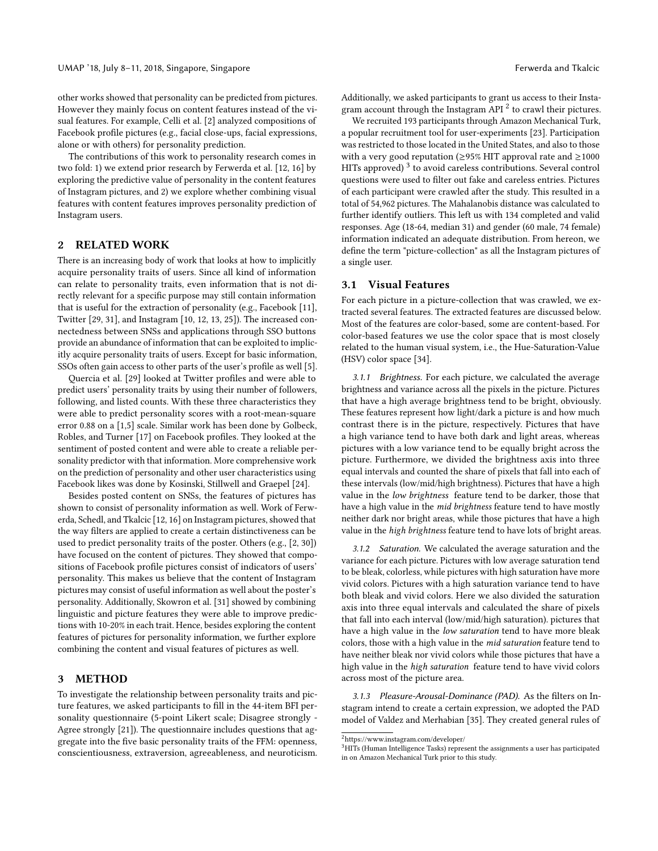other works showed that personality can be predicted from pictures. However they mainly focus on content features instead of the visual features. For example, Celli et al. [\[2\]](#page-4-19) analyzed compositions of Facebook profile pictures (e.g., facial close-ups, facial expressions, alone or with others) for personality prediction.

The contributions of this work to personality research comes in two fold: 1) we extend prior research by Ferwerda et al. [\[12,](#page-4-17) [16\]](#page-4-18) by exploring the predictive value of personality in the content features of Instagram pictures, and 2) we explore whether combining visual features with content features improves personality prediction of Instagram users.

# 2 RELATED WORK

There is an increasing body of work that looks at how to implicitly acquire personality traits of users. Since all kind of information can relate to personality traits, even information that is not directly relevant for a specific purpose may still contain information that is useful for the extraction of personality (e.g., Facebook [\[11\]](#page-4-20), Twitter [\[29,](#page-4-16) [31\]](#page-4-21), and Instagram [\[10,](#page-4-22) [12,](#page-4-17) [13,](#page-4-23) [25\]](#page-4-24)). The increased connectedness between SNSs and applications through SSO buttons provide an abundance of information that can be exploited to implicitly acquire personality traits of users. Except for basic information, SSOs often gain access to other parts of the user's profile as well [\[5\]](#page-4-25).

Quercia et al. [\[29\]](#page-4-16) looked at Twitter profiles and were able to predict users' personality traits by using their number of followers, following, and listed counts. With these three characteristics they were able to predict personality scores with a root-mean-square error 0.88 on a [1,5] scale. Similar work has been done by Golbeck, Robles, and Turner [\[17\]](#page-4-15) on Facebook profiles. They looked at the sentiment of posted content and were able to create a reliable personality predictor with that information. More comprehensive work on the prediction of personality and other user characteristics using Facebook likes was done by Kosinski, Stillwell and Graepel [\[24\]](#page-4-26).

Besides posted content on SNSs, the features of pictures has shown to consist of personality information as well. Work of Ferwerda, Schedl, and Tkalcic [\[12,](#page-4-17) [16\]](#page-4-18) on Instagram pictures, showed that the way filters are applied to create a certain distinctiveness can be used to predict personality traits of the poster. Others (e.g., [\[2,](#page-4-19) [30\]](#page-4-27)) have focused on the content of pictures. They showed that compositions of Facebook profile pictures consist of indicators of users' personality. This makes us believe that the content of Instagram pictures may consist of useful information as well about the poster's personality. Additionally, Skowron et al. [\[31\]](#page-4-21) showed by combining linguistic and picture features they were able to improve predictions with 10-20% in each trait. Hence, besides exploring the content features of pictures for personality information, we further explore combining the content and visual features of pictures as well.

# 3 METHOD

To investigate the relationship between personality traits and picture features, we asked participants to fill in the 44-item BFI personality questionnaire (5-point Likert scale; Disagree strongly - Agree strongly [\[21\]](#page-4-28)). The questionnaire includes questions that aggregate into the five basic personality traits of the FFM: openness, conscientiousness, extraversion, agreeableness, and neuroticism.

Additionally, we asked participants to grant us access to their Instagram account through the Instagram API  $^2$  $^2$  to crawl their pictures.

We recruited 193 participants through Amazon Mechanical Turk, a popular recruitment tool for user-experiments [\[23\]](#page-4-29). Participation was restricted to those located in the United States, and also to those with a very good reputation ( $\geq$ 95% HIT approval rate and  $\geq$ 1000 HITs approved)  $^3$  $^3$  to avoid careless contributions. Several control questions were used to filter out fake and careless entries. Pictures of each participant were crawled after the study. This resulted in a total of 54,962 pictures. The Mahalanobis distance was calculated to further identify outliers. This left us with 134 completed and valid responses. Age (18-64, median 31) and gender (60 male, 74 female) information indicated an adequate distribution. From hereon, we define the term "picture-collection" as all the Instagram pictures of a single user.

#### 3.1 Visual Features

For each picture in a picture-collection that was crawled, we extracted several features. The extracted features are discussed below. Most of the features are color-based, some are content-based. For color-based features we use the color space that is most closely related to the human visual system, i.e., the Hue-Saturation-Value (HSV) color space [\[34\]](#page-4-30).

3.1.1 Brightness. For each picture, we calculated the average brightness and variance across all the pixels in the picture. Pictures that have a high average brightness tend to be bright, obviously. These features represent how light/dark a picture is and how much contrast there is in the picture, respectively. Pictures that have a high variance tend to have both dark and light areas, whereas pictures with a low variance tend to be equally bright across the picture. Furthermore, we divided the brightness axis into three equal intervals and counted the share of pixels that fall into each of these intervals (low/mid/high brightness). Pictures that have a high value in the low brightness feature tend to be darker, those that have a high value in the mid brightness feature tend to have mostly neither dark nor bright areas, while those pictures that have a high value in the high brightness feature tend to have lots of bright areas.

3.1.2 Saturation. We calculated the average saturation and the variance for each picture. Pictures with low average saturation tend to be bleak, colorless, while pictures with high saturation have more vivid colors. Pictures with a high saturation variance tend to have both bleak and vivid colors. Here we also divided the saturation axis into three equal intervals and calculated the share of pixels that fall into each interval (low/mid/high saturation). pictures that have a high value in the low saturation tend to have more bleak colors, those with a high value in the mid saturation feature tend to have neither bleak nor vivid colors while those pictures that have a high value in the high saturation feature tend to have vivid colors across most of the picture area.

3.1.3 Pleasure-Arousal-Dominance (PAD). As the filters on Instagram intend to create a certain expression, we adopted the PAD model of Valdez and Merhabian [\[35\]](#page-4-31). They created general rules of

<span id="page-1-0"></span> $^2$ <https://www.instagram.com/developer/>

<span id="page-1-1"></span><sup>&</sup>lt;sup>3</sup>HITs (Human Intelligence Tasks) represent the assignments a user has participated in on Amazon Mechanical Turk prior to this study.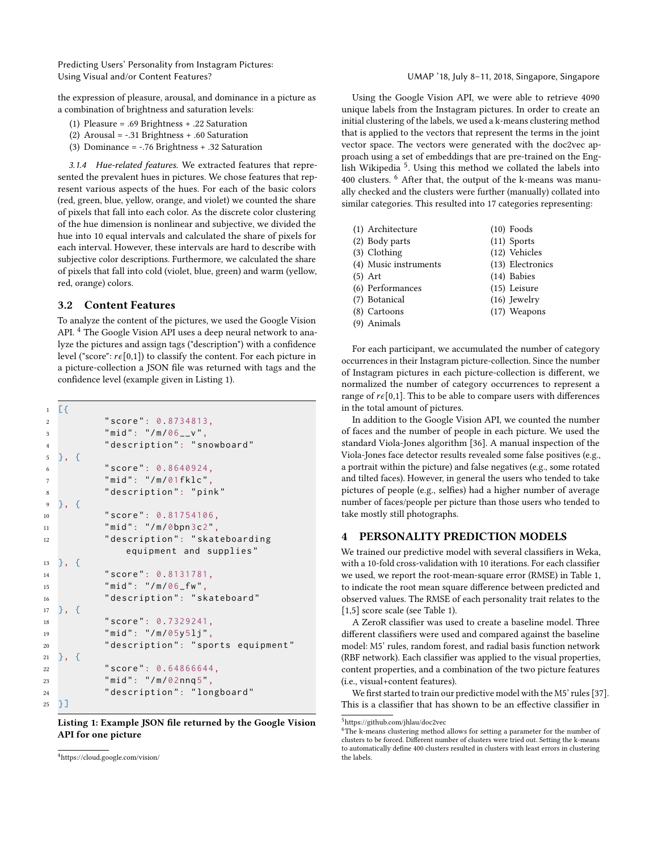Predicting Users' Personality from Instagram Pictures: Using Visual and/or Content Features? UMAP '18, July 8–11, 2018, Singapore, Singapore

the expression of pleasure, arousal, and dominance in a picture as a combination of brightness and saturation levels:

- (1) Pleasure = .69 Brightness + .22 Saturation
- (2) Arousal = -.31 Brightness + .60 Saturation
- (3) Dominance = -.76 Brightness + .32 Saturation

3.1.4 Hue-related features. We extracted features that represented the prevalent hues in pictures. We chose features that represent various aspects of the hues. For each of the basic colors (red, green, blue, yellow, orange, and violet) we counted the share of pixels that fall into each color. As the discrete color clustering of the hue dimension is nonlinear and subjective, we divided the hue into 10 equal intervals and calculated the share of pixels for each interval. However, these intervals are hard to describe with subjective color descriptions. Furthermore, we calculated the share of pixels that fall into cold (violet, blue, green) and warm (yellow, red, orange) colors.

### 3.2 Content Features

To analyze the content of the pictures, we used the Google Vision API.<sup>[4](#page-2-0)</sup> The Google Vision API uses a deep neural network to analyze the pictures and assign tags ("description") with a confidence level ("score":  $r\epsilon[0,1]$ ) to classify the content. For each picture in a picture-collection a JSON file was returned with tags and the confidence level (example given in Listing [1\)](#page-2-1).

```
1 \quad \boxed{}2 " score ": 0.8734813,
3 " mid": "/m/06__v",
4 " description ": " snowboard "
5 }, {
6 " score ": 0.8640924,
7 " mid": "/m/01fklc",
8 " description ": " pink "
9 }, {
10 " score": 0.81754106,
11 " mid ": "/ m /0 bpn 3c2",
12 " description": " skateboarding
             equipment and supplies "
13 }, {
14 " score ": 0.8131781,
15 " mid": "/m/06_fw",
16 " description ": " skateboard "
17 }, {
18 " score": 0.7329241,
19 " mid": "/m/05y5lj",
20 " description ": " sports equipment "
21 }, {
22 " score ": 0.64866644,
23 " mid ": "/ m /02 nnq 5",
24 " description ": " longboard "
25 \quad \frac{1}{2}
```
Listing 1: Example JSON file returned by the Google Vision API for one picture

Using the Google Vision API, we were able to retrieve 4090 unique labels from the Instagram pictures. In order to create an initial clustering of the labels, we used a k-means clustering method that is applied to the vectors that represent the terms in the joint vector space. The vectors were generated with the doc2vec approach using a set of embeddings that are pre-trained on the Eng-lish Wikipedia<sup>[5](#page-2-2)</sup>. Using this method we collated the labels into 400 clusters. [6](#page-2-3) After that, the output of the k-means was manually checked and the clusters were further (manually) collated into similar categories. This resulted into 17 categories representing:

| (1) Architecture      | $(10)$ Foods     |
|-----------------------|------------------|
| (2) Body parts        | $(11)$ Sports    |
| (3) Clothing          | (12) Vehicles    |
| (4) Music instruments | (13) Electronics |
| (5) Art               | (14) Babies      |
| (6) Performances      | $(15)$ Leisure   |
| (7) Botanical         | $(16)$ Jewelry   |
| (8) Cartoons          | (17) Weapons     |
| (9) Animals           |                  |
|                       |                  |

For each participant, we accumulated the number of category occurrences in their Instagram picture-collection. Since the number of Instagram pictures in each picture-collection is different, we normalized the number of category occurrences to represent a range of  $r\epsilon[0,1]$ . This to be able to compare users with differences in the total amount of pictures.

In addition to the Google Vision API, we counted the number of faces and the number of people in each picture. We used the standard Viola-Jones algorithm [\[36\]](#page-4-32). A manual inspection of the Viola-Jones face detector results revealed some false positives (e.g., a portrait within the picture) and false negatives (e.g., some rotated and tilted faces). However, in general the users who tended to take pictures of people (e.g., selfies) had a higher number of average number of faces/people per picture than those users who tended to take mostly still photographs.

# 4 PERSONALITY PREDICTION MODELS

We trained our predictive model with several classifiers in Weka, with a 10-fold cross-validation with 10 iterations. For each classifier we used, we report the root-mean-square error (RMSE) in Table [1,](#page-3-0) to indicate the root mean square difference between predicted and observed values. The RMSE of each personality trait relates to the [1,5] score scale (see Table [1\)](#page-3-0).

A ZeroR classifier was used to create a baseline model. Three different classifiers were used and compared against the baseline model: M5' rules, random forest, and radial basis function network (RBF network). Each classifier was applied to the visual properties, content properties, and a combination of the two picture features (i.e., visual+content features).

We first started to train our predictive model with the M5' rules [\[37\]](#page-4-33). This is a classifier that has shown to be an effective classifier in

<span id="page-2-0"></span><sup>4</sup><https://cloud.google.com/vision/>

<span id="page-2-2"></span> ${\rm ^5}$ <https://github.com/jhlau/doc2vec>

<span id="page-2-3"></span><sup>&</sup>lt;sup>6</sup>The k-means clustering method allows for setting a parameter for the number of clusters to be forced. Different number of clusters were tried out. Setting the k-means to automatically define 400 clusters resulted in clusters with least errors in clustering the labels.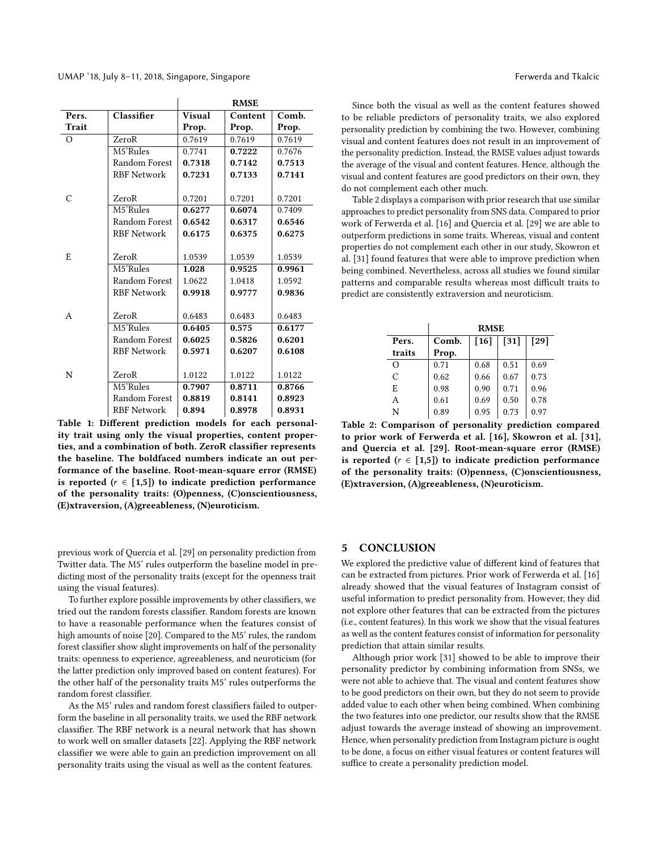<span id="page-3-0"></span>

|          |                    | <b>RMSE</b>   |         |        |  |
|----------|--------------------|---------------|---------|--------|--|
| Pers.    | Classifier         | <b>Visual</b> | Content | Comb.  |  |
| Trait    |                    | Prop.         | Prop.   | Prop.  |  |
| $\Omega$ | ZeroR              | 0.7619        | 0.7619  | 0.7619 |  |
|          | M5'Rules           | 0.7741        | 0.7222  | 0.7676 |  |
|          | Random Forest      | 0.7318        | 0.7142  | 0.7513 |  |
|          | <b>RBF Network</b> | 0.7231        | 0.7133  | 0.7141 |  |
| C        | ZeroR              | 0.7201        | 0.7201  | 0.7201 |  |
|          | M5'Rules           | 0.6277        | 0.6074  | 0.7409 |  |
|          | Random Forest      | 0.6542        | 0.6317  | 0.6546 |  |
|          | <b>RBF Network</b> | 0.6175        | 0.6375  | 0.6275 |  |
|          |                    |               |         |        |  |
| E        | ZeroR              | 1.0539        | 1.0539  | 1.0539 |  |
|          | M5'Rules           | 1.028         | 0.9525  | 0.9961 |  |
|          | Random Forest      | 1.0622        | 1.0418  | 1.0592 |  |
|          | <b>RBF Network</b> | 0.9918        | 0.9777  | 0.9836 |  |
|          |                    |               |         |        |  |
| A        | ZeroR              | 0.6483        | 0.6483  | 0.6483 |  |
|          | M5'Rules           | 0.6405        | 0.575   | 0.6177 |  |
|          | Random Forest      | 0.6025        | 0.5826  | 0.6201 |  |
|          | <b>RBF Network</b> | 0.5971        | 0.6207  | 0.6108 |  |
|          |                    |               |         |        |  |
| N        | ZeroR              | 1.0122        | 1.0122  | 1.0122 |  |
|          | M5'Rules           | 0.7907        | 0.8711  | 0.8766 |  |
|          | Random Forest      | 0.8819        | 0.8141  | 0.8923 |  |
|          | <b>RBF Network</b> | 0.894         | 0.8978  | 0.8931 |  |

Table 1: Different prediction models for each personality trait using only the visual properties, content properties, and a combination of both. ZeroR classifier represents the baseline. The boldfaced numbers indicate an out performance of the baseline. Root-mean-square error (RMSE) is reported ( $r \in [1,5]$ ) to indicate prediction performance of the personality traits: (O)penness, (C)onscientiousness, (E)xtraversion, (A)greeableness, (N)euroticism.

previous work of Quercia et al. [\[29\]](#page-4-16) on personality prediction from Twitter data. The M5' rules outperform the baseline model in predicting most of the personality traits (except for the openness trait using the visual features).

To further explore possible improvements by other classifiers, we tried out the random forests classifier. Random forests are known to have a reasonable performance when the features consist of high amounts of noise [\[20\]](#page-4-34). Compared to the M5' rules, the random forest classifier show slight improvements on half of the personality traits: openness to experience, agreeableness, and neuroticism (for the latter prediction only improved based on content features). For the other half of the personality traits M5' rules outperforms the random forest classifier.

As the M5' rules and random forest classifiers failed to outperform the baseline in all personality traits, we used the RBF network classifier. The RBF network is a neural network that has shown to work well on smaller datasets [\[22\]](#page-4-35). Applying the RBF network classifier we were able to gain an prediction improvement on all personality traits using the visual as well as the content features.

Since both the visual as well as the content features showed to be reliable predictors of personality traits, we also explored personality prediction by combining the two. However, combining visual and content features does not result in an improvement of the personality prediction. Instead, the RMSE values adjust towards the average of the visual and content features. Hence, although the visual and content features are good predictors on their own, they do not complement each other much.

Table [2](#page-3-1) displays a comparison with prior research that use similar approaches to predict personality from SNS data. Compared to prior work of Ferwerda et al. [\[16\]](#page-4-18) and Quercia et al. [\[29\]](#page-4-16) we are able to outperform predictions in some traits. Whereas, visual and content properties do not complement each other in our study, Skowron et al. [\[31\]](#page-4-21) found features that were able to improve prediction when being combined. Nevertheless, across all studies we found similar patterns and comparable results whereas most difficult traits to predict are consistently extraversion and neuroticism.

<span id="page-3-1"></span>

|          | <b>RMSE</b> |        |        |      |  |  |  |
|----------|-------------|--------|--------|------|--|--|--|
| Pers.    | Comb.       | $[16]$ | $[31]$ | [29] |  |  |  |
| traits   | Prop.       |        |        |      |  |  |  |
| $\Omega$ | 0.71        | 0.68   | 0.51   | 0.69 |  |  |  |
| C        | 0.62        | 0.66   | 0.67   | 0.73 |  |  |  |
| E        | 0.98        | 0.90   | 0.71   | 0.96 |  |  |  |
| A        | 0.61        | 0.69   | 0.50   | 0.78 |  |  |  |
| N        | 0.89        | 0.95   | 0.73   | 0.97 |  |  |  |

Table 2: Comparison of personality prediction compared to prior work of Ferwerda et al. [\[16\]](#page-4-18), Skowron et al. [\[31\]](#page-4-21), and Quercia et al. [\[29\]](#page-4-16). Root-mean-square error (RMSE) is reported ( $r \in [1,5]$ ) to indicate prediction performance of the personality traits: (O)penness, (C)onscientiousness, (E)xtraversion, (A)greeableness, (N)euroticism.

#### 5 CONCLUSION

We explored the predictive value of different kind of features that can be extracted from pictures. Prior work of Ferwerda et al. [\[16\]](#page-4-18) already showed that the visual features of Instagram consist of useful information to predict personality from. However, they did not explore other features that can be extracted from the pictures (i.e., content features). In this work we show that the visual features as well as the content features consist of information for personality prediction that attain similar results.

Although prior work [\[31\]](#page-4-21) showed to be able to improve their personality predictor by combining information from SNSs, we were not able to achieve that. The visual and content features show to be good predictors on their own, but they do not seem to provide added value to each other when being combined. When combining the two features into one predictor, our results show that the RMSE adjust towards the average instead of showing an improvement. Hence, when personality prediction from Instagram picture is ought to be done, a focus on either visual features or content features will suffice to create a personality prediction model.